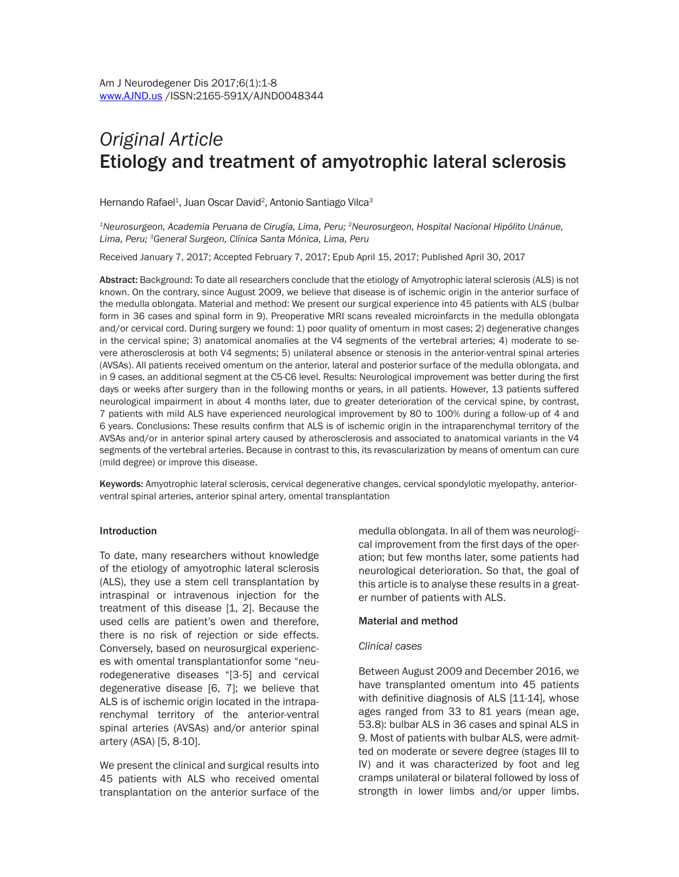# *Original Article* Etiology and treatment of amyotrophic lateral sclerosis

Hernando Rafael<sup>1</sup>, Juan Oscar David<sup>2</sup>, Antonio Santiago Vilca<sup>3</sup>

*1Neurosurgeon, Academia Peruana de Cirugía, Lima, Peru; 2Neurosurgeon, Hospital Nacional Hipólito Unánue, Lima, Peru; 3General Surgeon, Clínica Santa Mónica, Lima, Peru*

Received January 7, 2017; Accepted February 7, 2017; Epub April 15, 2017; Published April 30, 2017

Abstract: Background: To date all researchers conclude that the etiology of Amyotrophic lateral sclerosis (ALS) is not known. On the contrary, since August 2009, we believe that disease is of ischemic origin in the anterior surface of the medulla oblongata. Material and method: We present our surgical experience into 45 patients with ALS (bulbar form in 36 cases and spinal form in 9). Preoperative MRI scans revealed microinfarcts in the medulla oblongata and/or cervical cord. During surgery we found: 1) poor quality of omentum in most cases; 2) degenerative changes in the cervical spine; 3) anatomical anomalies at the V4 segments of the vertebral arteries; 4) moderate to severe atherosclerosis at both V4 segments; 5) unilateral absence or stenosis in the anterior-ventral spinal arteries (AVSAs). All patients received omentum on the anterior, lateral and posterior surface of the medulla oblongata, and in 9 cases, an additional segment at the C5-C6 level. Results: Neurological improvement was better during the first days or weeks after surgery than in the following months or years, in all patients. However, 13 patients suffered neurological impairment in about 4 months later, due to greater deterioration of the cervical spine, by contrast, 7 patients with mild ALS have experienced neurological improvement by 80 to 100% during a follow-up of 4 and 6 years. Conclusions: These results confirm that ALS is of ischemic origin in the intraparenchymal territory of the AVSAs and/or in anterior spinal artery caused by atherosclerosis and associated to anatomical variants in the V4 segments of the vertebral arteries. Because in contrast to this, its revascularization by means of omentum can cure (mild degree) or improve this disease.

Keywords: Amyotrophic lateral sclerosis, cervical degenerative changes, cervical spondylotic myelopathy, anteriorventral spinal arteries, anterior spinal artery, omental transplantation

### Introduction

To date, many researchers without knowledge of the etiology of amyotrophic lateral sclerosis (ALS), they use a stem cell transplantation by intraspinal or intravenous injection for the treatment of this disease [1, 2]. Because the used cells are patient's owen and therefore, there is no risk of rejection or side effects. Conversely, based on neurosurgical experiences with omental transplantationfor some "neurodegenerative diseases "[3-5] and cervical degenerative disease [6, 7]; we believe that ALS is of ischemic origin located in the intraparenchymal territory of the anterior-ventral spinal arteries (AVSAs) and/or anterior spinal artery (ASA) [5, 8-10].

We present the clinical and surgical results into 45 patients with ALS who received omental transplantation on the anterior surface of the

medulla oblongata. In all of them was neurological improvement from the first days of the operation; but few months later, some patients had neurological deterioration. So that, the goal of this article is to analyse these results in a greater number of patients with ALS.

## Material and method

### *Clinical cases*

Between August 2009 and December 2016, we have transplanted omentum into 45 patients with definitive diagnosis of ALS [11-14], whose ages ranged from 33 to 81 years (mean age, 53.8): bulbar ALS in 36 cases and spinal ALS in 9. Most of patients with bulbar ALS, were admitted on moderate or severe degree (stages III to IV) and it was characterized by foot and leg cramps unilateral or bilateral followed by loss of strongth in lower limbs and/or upper limbs.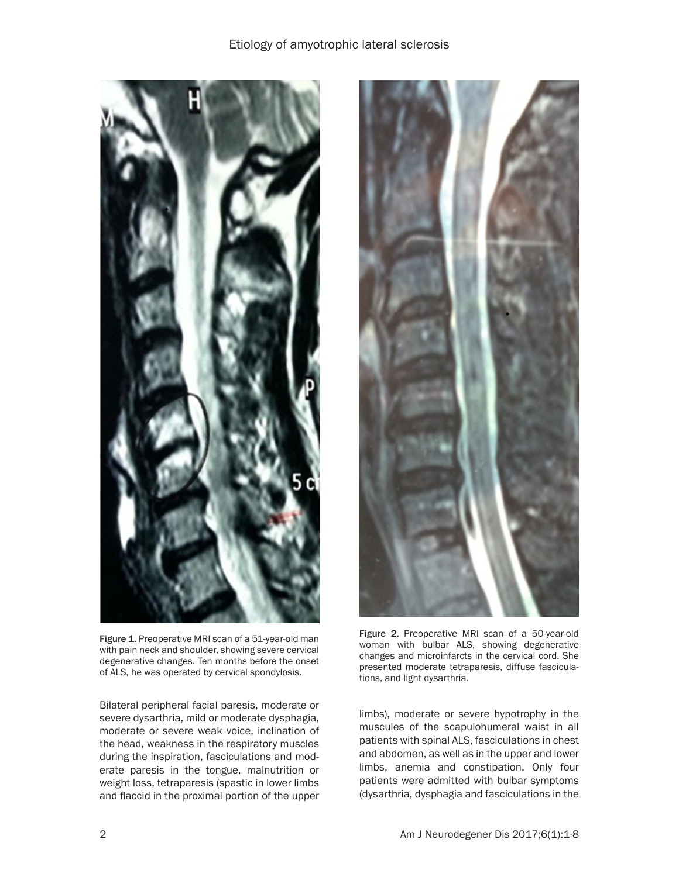

Figure 1. Preoperative MRI scan of a 51-year-old man with pain neck and shoulder, showing severe cervical degenerative changes. Ten months before the onset of ALS, he was operated by cervical spondylosis.

Bilateral peripheral facial paresis, moderate or severe dysarthria, mild or moderate dysphagia, moderate or severe weak voice, inclination of the head, weakness in the respiratory muscles during the inspiration, fasciculations and moderate paresis in the tongue, malnutrition or weight loss, tetraparesis (spastic in lower limbs and flaccid in the proximal portion of the upper



Figure 2. Preoperative MRI scan of a 50-year-old woman with bulbar ALS, showing degenerative changes and microinfarcts in the cervical cord. She presented moderate tetraparesis, diffuse fasciculations, and light dysarthria.

limbs), moderate or severe hypotrophy in the muscules of the scapulohumeral waist in all patients with spinal ALS, fasciculations in chest and abdomen, as well as in the upper and lower limbs, anemia and constipation. Only four patients were admitted with bulbar symptoms (dysarthria, dysphagia and fasciculations in the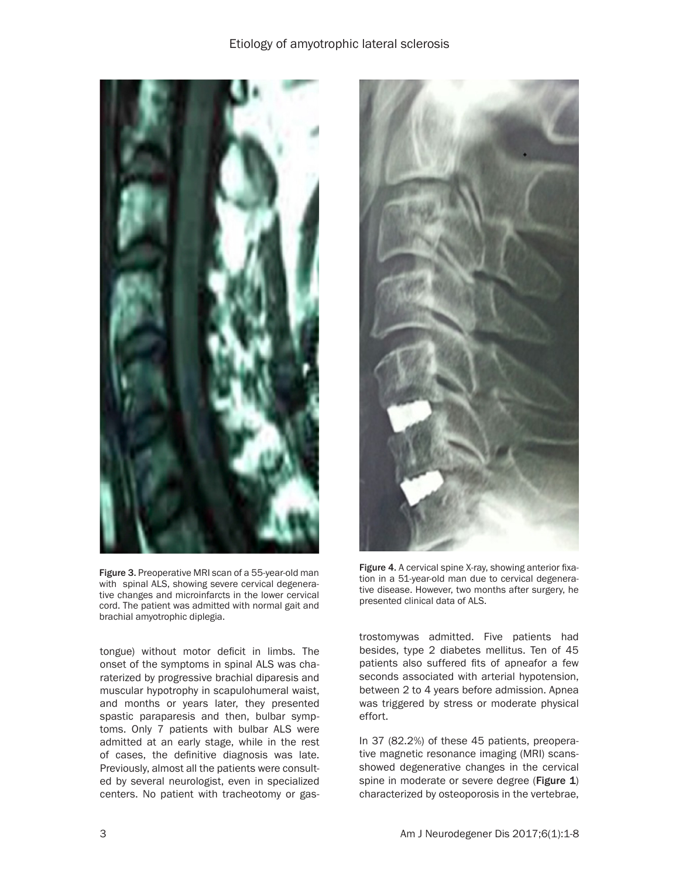## Etiology of amyotrophic lateral sclerosis



Figure 3. Preoperative MRI scan of a 55-year-old man with spinal ALS, showing severe cervical degenerative changes and microinfarcts in the lower cervical cord. The patient was admitted with normal gait and brachial amyotrophic diplegia.

tongue) without motor deficit in limbs. The onset of the symptoms in spinal ALS was charaterized by progressive brachial diparesis and muscular hypotrophy in scapulohumeral waist, and months or years later, they presented spastic paraparesis and then, bulbar symptoms. Only 7 patients with bulbar ALS were admitted at an early stage, while in the rest of cases, the definitive diagnosis was late. Previously, almost all the patients were consulted by several neurologist, even in specialized centers. No patient with tracheotomy or gas-



Figure 4. A cervical spine X-ray, showing anterior fixation in a 51-year-old man due to cervical degenerative disease. However, two months after surgery, he presented clinical data of ALS.

trostomywas admitted. Five patients had besides, type 2 diabetes mellitus. Ten of 45 patients also suffered fits of apneafor a few seconds associated with arterial hypotension, between 2 to 4 years before admission. Apnea was triggered by stress or moderate physical effort.

In 37 (82.2%) of these 45 patients, preoperative magnetic resonance imaging (MRI) scansshowed degenerative changes in the cervical spine in moderate or severe degree (Figure 1) characterized by osteoporosis in the vertebrae,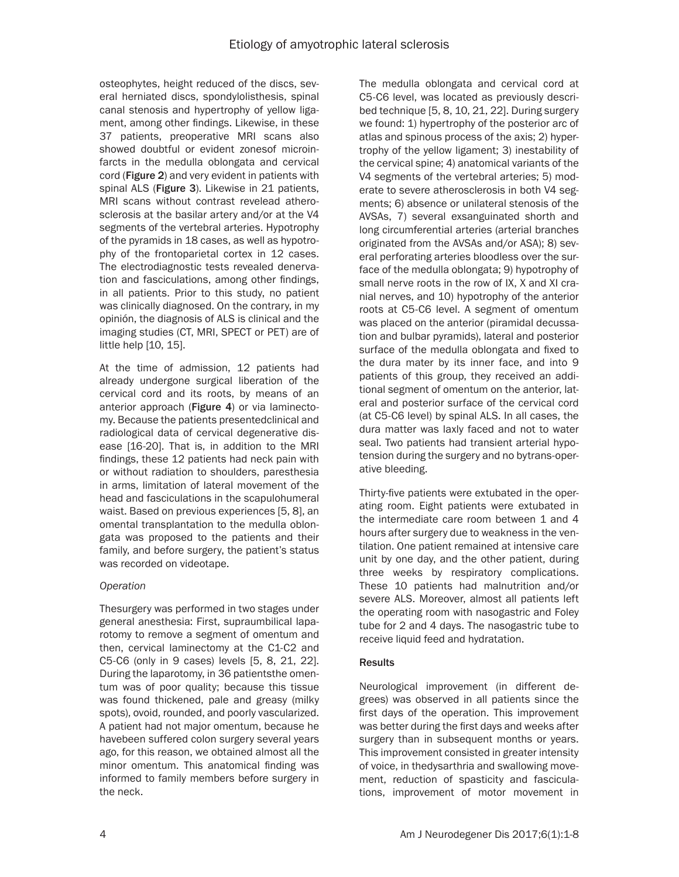osteophytes, height reduced of the discs, several herniated discs, spondylolisthesis, spinal canal stenosis and hypertrophy of yellow ligament, among other findings. Likewise, in these 37 patients, preoperative MRI scans also showed doubtful or evident zonesof microinfarcts in the medulla oblongata and cervical cord (Figure 2) and very evident in patients with spinal ALS (Figure 3). Likewise in 21 patients, MRI scans without contrast revelead atherosclerosis at the basilar artery and/or at the V4 segments of the vertebral arteries. Hypotrophy of the pyramids in 18 cases, as well as hypotrophy of the frontoparietal cortex in 12 cases. The electrodiagnostic tests revealed denervation and fasciculations, among other findings, in all patients. Prior to this study, no patient was clinically diagnosed. On the contrary, in my opinión, the diagnosis of ALS is clinical and the imaging studies (CT, MRI, SPECT or PET) are of little help [10, 15].

At the time of admission, 12 patients had already undergone surgical liberation of the cervical cord and its roots, by means of an anterior approach (Figure 4) or via laminectomy. Because the patients presentedclinical and radiological data of cervical degenerative disease [16-20]. That is, in addition to the MRI findings, these 12 patients had neck pain with or without radiation to shoulders, paresthesia in arms, limitation of lateral movement of the head and fasciculations in the scapulohumeral waist. Based on previous experiences [5, 8], an omental transplantation to the medulla oblongata was proposed to the patients and their family, and before surgery, the patient's status was recorded on videotape.

## *Operation*

Thesurgery was performed in two stages under general anesthesia: First, supraumbilical laparotomy to remove a segment of omentum and then, cervical laminectomy at the C1-C2 and C5-C6 (only in 9 cases) levels [5, 8, 21, 22]. During the laparotomy, in 36 patientsthe omentum was of poor quality; because this tissue was found thickened, pale and greasy (milky spots), ovoid, rounded, and poorly vascularized. A patient had not major omentum, because he havebeen suffered colon surgery several years ago, for this reason, we obtained almost all the minor omentum. This anatomical finding was informed to family members before surgery in the neck.

The medulla oblongata and cervical cord at C5-C6 level, was located as previously described technique [5, 8, 10, 21, 22]. During surgery we found: 1) hypertrophy of the posterior arc of atlas and spinous process of the axis; 2) hypertrophy of the yellow ligament; 3) inestability of the cervical spine; 4) anatomical variants of the V4 segments of the vertebral arteries; 5) moderate to severe atherosclerosis in both V4 segments; 6) absence or unilateral stenosis of the AVSAs, 7) several exsanguinated shorth and long circumferential arteries (arterial branches originated from the AVSAs and/or ASA); 8) several perforating arteries bloodless over the surface of the medulla oblongata; 9) hypotrophy of small nerve roots in the row of IX, X and XI cranial nerves, and 10) hypotrophy of the anterior roots at C5-C6 level. A segment of omentum was placed on the anterior (piramidal decussation and bulbar pyramids), lateral and posterior surface of the medulla oblongata and fixed to the dura mater by its inner face, and into 9 patients of this group, they received an additional segment of omentum on the anterior, lateral and posterior surface of the cervical cord (at C5-C6 level) by spinal ALS. In all cases, the dura matter was laxly faced and not to water seal. Two patients had transient arterial hypotension during the surgery and no bytrans-operative bleeding.

Thirty-five patients were extubated in the operating room. Eight patients were extubated in the intermediate care room between 1 and 4 hours after surgery due to weakness in the ventilation. One patient remained at intensive care unit by one day, and the other patient, during three weeks by respiratory complications. These 10 patients had malnutrition and/or severe ALS. Moreover, almost all patients left the operating room with nasogastric and Foley tube for 2 and 4 days. The nasogastric tube to receive liquid feed and hydratation.

## **Results**

Neurological improvement (in different degrees) was observed in all patients since the first days of the operation. This improvement was better during the first days and weeks after surgery than in subsequent months or years. This improvement consisted in greater intensity of voice, in thedysarthria and swallowing movement, reduction of spasticity and fasciculations, improvement of motor movement in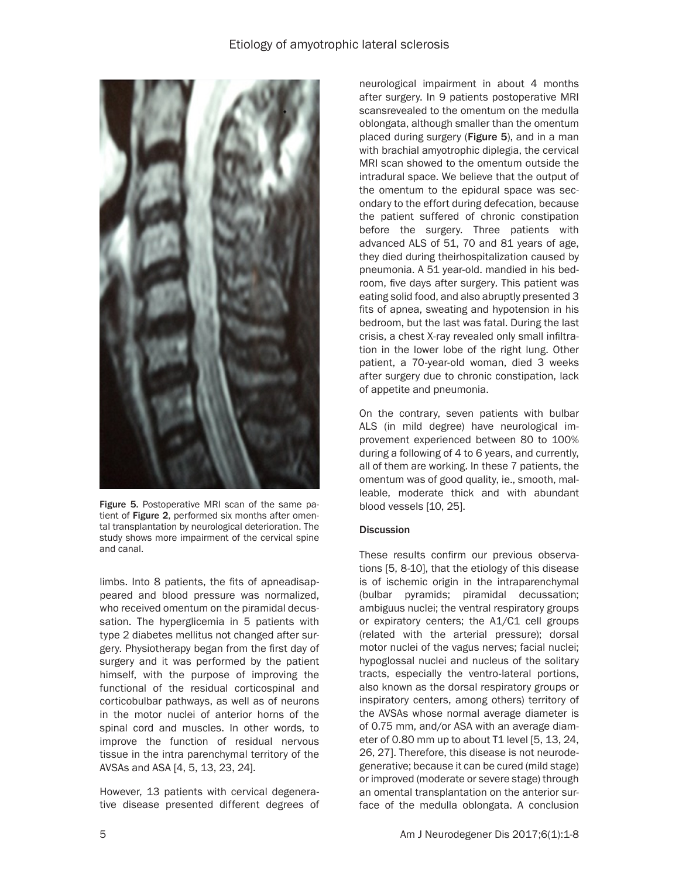

Figure 5. Postoperative MRI scan of the same patient of Figure 2, performed six months after omental transplantation by neurological deterioration. The study shows more impairment of the cervical spine and canal.

limbs. Into 8 patients, the fits of apneadisappeared and blood pressure was normalized, who received omentum on the piramidal decussation. The hyperglicemia in 5 patients with type 2 diabetes mellitus not changed after surgery. Physiotherapy began from the first day of surgery and it was performed by the patient himself, with the purpose of improving the functional of the residual corticospinal and corticobulbar pathways, as well as of neurons in the motor nuclei of anterior horns of the spinal cord and muscles. In other words, to improve the function of residual nervous tissue in the intra parenchymal territory of the AVSAs and ASA [4, 5, 13, 23, 24].

However, 13 patients with cervical degenerative disease presented different degrees of neurological impairment in about 4 months after surgery. In 9 patients postoperative MRI scansrevealed to the omentum on the medulla oblongata, although smaller than the omentum placed during surgery (Figure 5), and in a man with brachial amyotrophic diplegia, the cervical MRI scan showed to the omentum outside the intradural space. We believe that the output of the omentum to the epidural space was secondary to the effort during defecation, because the patient suffered of chronic constipation before the surgery. Three patients with advanced ALS of 51, 70 and 81 years of age, they died during theirhospitalization caused by pneumonia. A 51 year-old. mandied in his bedroom, five days after surgery. This patient was eating solid food, and also abruptly presented 3 fits of apnea, sweating and hypotension in his bedroom, but the last was fatal. During the last crisis, a chest X-ray revealed only small infiltration in the lower lobe of the right lung. Other patient, a 70-year-old woman, died 3 weeks after surgery due to chronic constipation, lack of appetite and pneumonia.

On the contrary, seven patients with bulbar ALS (in mild degree) have neurological improvement experienced between 80 to 100% during a following of 4 to 6 years, and currently, all of them are working. In these 7 patients, the omentum was of good quality, ie., smooth, malleable, moderate thick and with abundant blood vessels [10, 25].

## **Discussion**

These results confirm our previous observations [5, 8-10], that the etiology of this disease is of ischemic origin in the intraparenchymal (bulbar pyramids; piramidal decussation; ambiguus nuclei; the ventral respiratory groups or expiratory centers; the A1/C1 cell groups (related with the arterial pressure); dorsal motor nuclei of the vagus nerves; facial nuclei; hypoglossal nuclei and nucleus of the solitary tracts, especially the ventro-lateral portions, also known as the dorsal respiratory groups or inspiratory centers, among others) territory of the AVSAs whose normal average diameter is of 0.75 mm, and/or ASA with an average diameter of 0.80 mm up to about T1 level [5, 13, 24, 26, 27]. Therefore, this disease is not neurodegenerative; because it can be cured (mild stage) or improved (moderate or severe stage) through an omental transplantation on the anterior surface of the medulla oblongata. A conclusion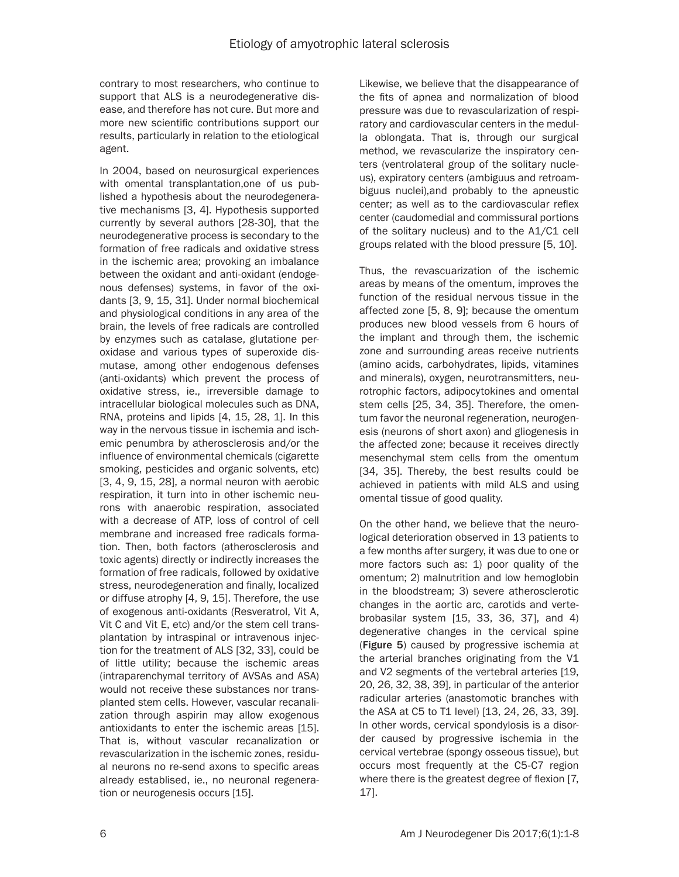contrary to most researchers, who continue to support that ALS is a neurodegenerative disease, and therefore has not cure. But more and more new scientific contributions support our results, particularly in relation to the etiological agent.

In 2004, based on neurosurgical experiences with omental transplantation,one of us published a hypothesis about the neurodegenerative mechanisms [3, 4]. Hypothesis supported currently by several authors [28-30], that the neurodegenerative process is secondary to the formation of free radicals and oxidative stress in the ischemic area; provoking an imbalance between the oxidant and anti-oxidant (endogenous defenses) systems, in favor of the oxidants [3, 9, 15, 31]. Under normal biochemical and physiological conditions in any area of the brain, the levels of free radicals are controlled by enzymes such as catalase, glutatione peroxidase and various types of superoxide dismutase, among other endogenous defenses (anti-oxidants) which prevent the process of oxidative stress, ie., irreversible damage to intracellular biological molecules such as DNA, RNA, proteins and lipids [4, 15, 28, 1]. In this way in the nervous tissue in ischemia and ischemic penumbra by atherosclerosis and/or the influence of environmental chemicals (cigarette smoking, pesticides and organic solvents, etc) [3, 4, 9, 15, 28], a normal neuron with aerobic respiration, it turn into in other ischemic neurons with anaerobic respiration, associated with a decrease of ATP, loss of control of cell membrane and increased free radicals formation. Then, both factors (atherosclerosis and toxic agents) directly or indirectly increases the formation of free radicals, followed by oxidative stress, neurodegeneration and finally, localized or diffuse atrophy [4, 9, 15]. Therefore, the use of exogenous anti-oxidants (Resveratrol, Vit A, Vit C and Vit E, etc) and/or the stem cell transplantation by intraspinal or intravenous injection for the treatment of ALS [32, 33], could be of little utility; because the ischemic areas (intraparenchymal territory of AVSAs and ASA) would not receive these substances nor transplanted stem cells. However, vascular recanalization through aspirin may allow exogenous antioxidants to enter the ischemic areas [15]. That is, without vascular recanalization or revascularization in the ischemic zones, residual neurons no re-send axons to specific areas already establised, ie., no neuronal regeneration or neurogenesis occurs [15].

Likewise, we believe that the disappearance of the fits of apnea and normalization of blood pressure was due to revascularization of respiratory and cardiovascular centers in the medulla oblongata. That is, through our surgical method, we revascularize the inspiratory centers (ventrolateral group of the solitary nucleus), expiratory centers (ambiguus and retroambiguus nuclei),and probably to the apneustic center; as well as to the cardiovascular reflex center (caudomedial and commissural portions of the solitary nucleus) and to the A1/C1 cell groups related with the blood pressure [5, 10].

Thus, the revascuarization of the ischemic areas by means of the omentum, improves the function of the residual nervous tissue in the affected zone [5, 8, 9]; because the omentum produces new blood vessels from 6 hours of the implant and through them, the ischemic zone and surrounding areas receive nutrients (amino acids, carbohydrates, lipids, vitamines and minerals), oxygen, neurotransmitters, neurotrophic factors, adipocytokines and omental stem cells [25, 34, 35]. Therefore, the omentum favor the neuronal regeneration, neurogenesis (neurons of short axon) and gliogenesis in the affected zone; because it receives directly mesenchymal stem cells from the omentum [34, 35]. Thereby, the best results could be achieved in patients with mild ALS and using omental tissue of good quality.

On the other hand, we believe that the neurological deterioration observed in 13 patients to a few months after surgery, it was due to one or more factors such as: 1) poor quality of the omentum; 2) malnutrition and low hemoglobin in the bloodstream; 3) severe atherosclerotic changes in the aortic arc, carotids and vertebrobasilar system [15, 33, 36, 37], and 4) degenerative changes in the cervical spine (Figure 5) caused by progressive ischemia at the arterial branches originating from the V1 and V2 segments of the vertebral arteries [19, 20, 26, 32, 38, 39], in particular of the anterior radicular arteries (anastomotic branches with the ASA at C5 to T1 level) [13, 24, 26, 33, 39]. In other words, cervical spondylosis is a disorder caused by progressive ischemia in the cervical vertebrae (spongy osseous tissue), but occurs most frequently at the C5-C7 region where there is the greatest degree of flexion [7, 17].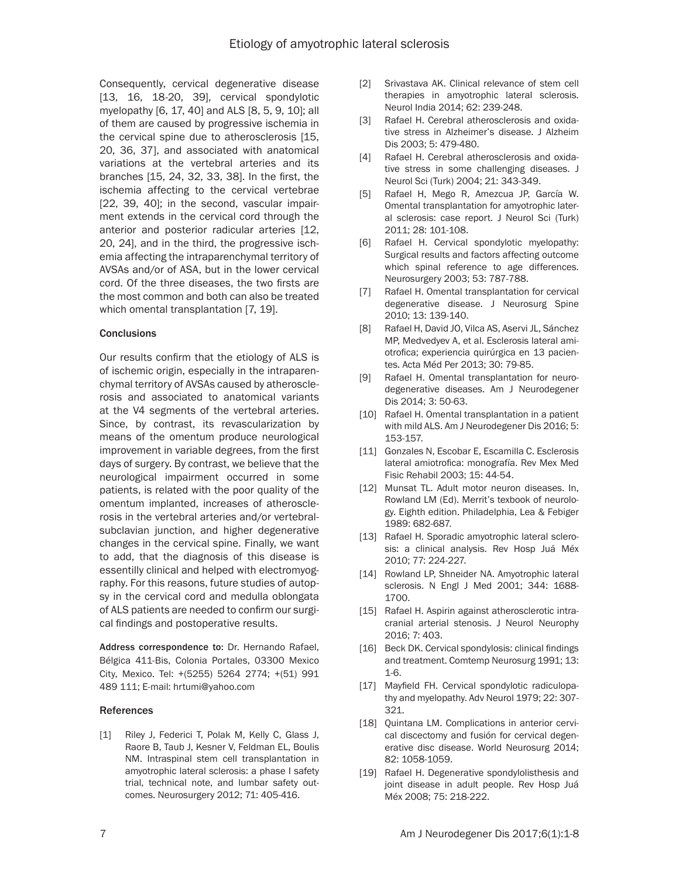Consequently, cervical degenerative disease [13, 16, 18-20, 39], cervical spondylotic myelopathy [6, 17, 40] and ALS [8, 5, 9, 10]; all of them are caused by progressive ischemia in the cervical spine due to atherosclerosis [15, 20, 36, 37], and associated with anatomical variations at the vertebral arteries and its branches [15, 24, 32, 33, 38]. In the first, the ischemia affecting to the cervical vertebrae [22, 39, 40]; in the second, vascular impairment extends in the cervical cord through the anterior and posterior radicular arteries [12, 20, 24], and in the third, the progressive ischemia affecting the intraparenchymal territory of AVSAs and/or of ASA, but in the lower cervical cord. Of the three diseases, the two firsts are the most common and both can also be treated which omental transplantation [7, 19].

### **Conclusions**

Our results confirm that the etiology of ALS is of ischemic origin, especially in the intraparenchymal territory of AVSAs caused by atherosclerosis and associated to anatomical variants at the V4 segments of the vertebral arteries. Since, by contrast, its revascularization by means of the omentum produce neurological improvement in variable degrees, from the first days of surgery. By contrast, we believe that the neurological impairment occurred in some patients, is related with the poor quality of the omentum implanted, increases of atherosclerosis in the vertebral arteries and/or vertebralsubclavian junction, and higher degenerative changes in the cervical spine. Finally, we want to add, that the diagnosis of this disease is essentilly clinical and helped with electromyography. For this reasons, future studies of autopsy in the cervical cord and medulla oblongata of ALS patients are needed to confirm our surgical findings and postoperative results.

Address correspondence to: Dr. Hernando Rafael, Bélgica 411-Bis, Colonia Portales, 03300 Mexico City, Mexico. Tel: +(5255) 5264 2774; +(51) 991 489 111; E-mail: hrtumi@yahoo.com

#### References

[1] Riley J, Federici T, Polak M, Kelly C, Glass J, Raore B, Taub J, Kesner V, Feldman EL, Boulis NM. Intraspinal stem cell transplantation in amyotrophic lateral sclerosis: a phase I safety trial, technical note, and lumbar safety outcomes. Neurosurgery 2012; 71: 405-416.

- [2] Srivastava AK. Clinical relevance of stem cell therapies in amyotrophic lateral sclerosis. Neurol India 2014; 62: 239-248.
- [3] Rafael H. Cerebral atherosclerosis and oxidative stress in Alzheimer's disease. J Alzheim Dis 2003; 5: 479-480.
- [4] Rafael H. Cerebral atherosclerosis and oxidative stress in some challenging diseases. J Neurol Sci (Turk) 2004; 21: 343-349.
- [5] Rafael H, Mego R, Amezcua JP, García W. Omental transplantation for amyotrophic lateral sclerosis: case report. J Neurol Sci (Turk) 2011; 28: 101-108.
- [6] Rafael H. Cervical spondylotic myelopathy: Surgical results and factors affecting outcome which spinal reference to age differences. Neurosurgery 2003; 53: 787-788.
- [7] Rafael H. Omental transplantation for cervical degenerative disease. J Neurosurg Spine 2010; 13: 139-140.
- [8] Rafael H, David JO, Vilca AS, Aservi JL, Sánchez MP, Medvedyev A, et al. Esclerosis lateral amiotrofica; experiencia quirúrgica en 13 pacientes. Acta Méd Per 2013; 30: 79-85.
- [9] Rafael H. Omental transplantation for neurodegenerative diseases. Am J Neurodegener Dis 2014; 3: 50-63.
- [10] Rafael H. Omental transplantation in a patient with mild ALS. Am J Neurodegener Dis 2016; 5: 153-157.
- [11] Gonzales N, Escobar E, Escamilla C. Esclerosis lateral amiotrofica: monografía. Rev Mex Med Fisic Rehabil 2003; 15: 44-54.
- [12] Munsat TL. Adult motor neuron diseases. In, Rowland LM (Ed). Merrit's texbook of neurology. Eighth edition. Philadelphia, Lea & Febiger 1989: 682-687.
- [13] Rafael H. Sporadic amyotrophic lateral sclerosis: a clinical analysis. Rev Hosp Juá Méx 2010; 77: 224-227.
- [14] Rowland LP, Shneider NA. Amyotrophic lateral sclerosis. N Engl J Med 2001; 344: 1688- 1700.
- [15] Rafael H. Aspirin against atherosclerotic intracranial arterial stenosis. J Neurol Neurophy 2016; 7: 403.
- [16] Beck DK. Cervical spondylosis: clinical findings and treatment. Comtemp Neurosurg 1991; 13: 1-6.
- [17] Mayfield FH. Cervical spondylotic radiculopathy and myelopathy. Adv Neurol 1979; 22: 307- 321.
- [18] Quintana LM. Complications in anterior cervical discectomy and fusión for cervical degenerative disc disease. World Neurosurg 2014; 82: 1058-1059.
- [19] Rafael H. Degenerative spondylolisthesis and joint disease in adult people. Rev Hosp Juá Méx 2008; 75: 218-222.